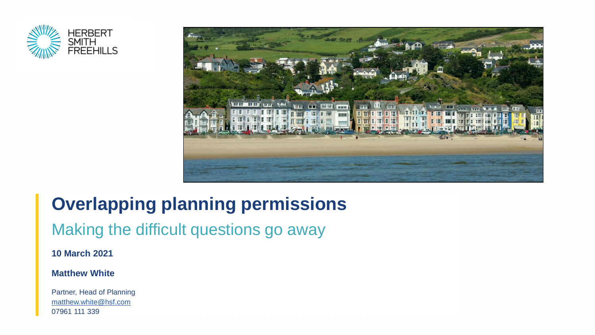



# **Overlapping planning permissions**

### Making the difficult questions go away

**10 March 2021**

#### **Matthew White**

Partner, Head of Planning [matthew.white@hsf.com](mailto:Matthew.white@hsf.com) 07961 111 339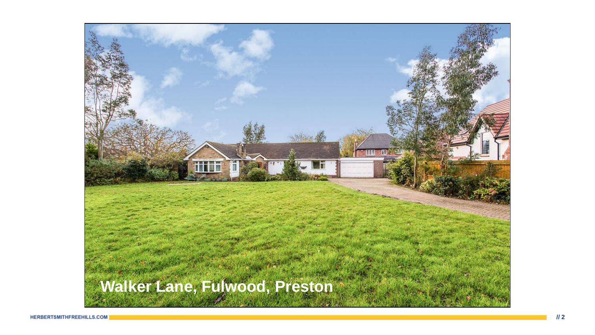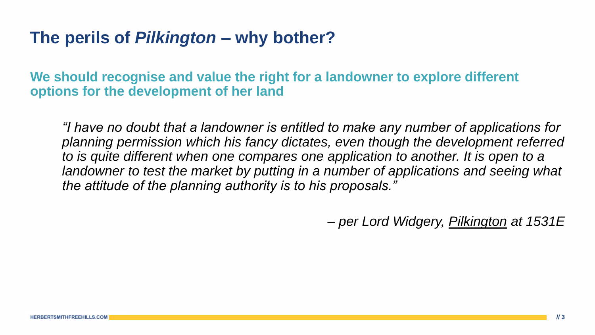### **The perils of** *Pilkington –* **why bother?**

**We should recognise and value the right for a landowner to explore different options for the development of her land** 

*"I have no doubt that a landowner is entitled to make any number of applications for planning permission which his fancy dictates, even though the development referred to is quite different when one compares one application to another. It is open to a landowner to test the market by putting in a number of applications and seeing what the attitude of the planning authority is to his proposals."*

*– per Lord Widgery, Pilkington at 1531E*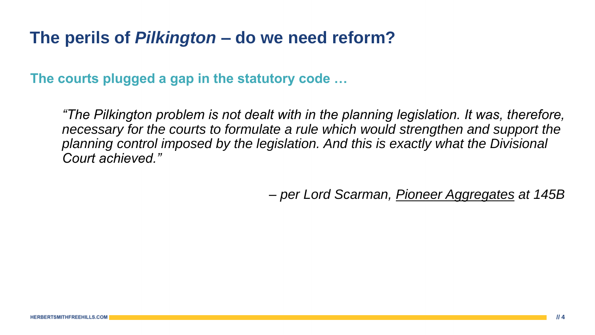### **The perils of** *Pilkington –* **do we need reform?**

**The courts plugged a gap in the statutory code …**

*"The Pilkington problem is not dealt with in the planning legislation. It was, therefore,*  necessary for the courts to formulate a rule which would strengthen and support the *planning control imposed by the legislation. And this is exactly what the Divisional Court achieved."*

*– per Lord Scarman, Pioneer Aggregates at 145B*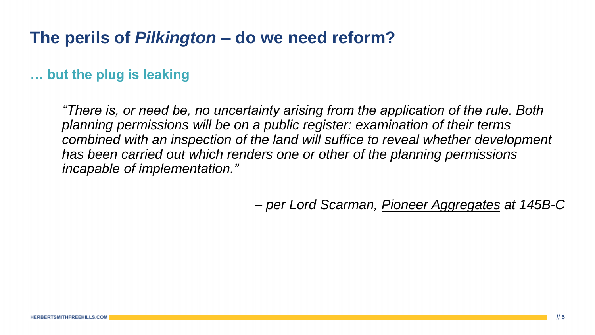### **The perils of** *Pilkington –* **do we need reform?**

### **… but the plug is leaking**

*"There is, or need be, no uncertainty arising from the application of the rule. Both planning permissions will be on a public register: examination of their terms combined with an inspection of the land will suffice to reveal whether development has been carried out which renders one or other of the planning permissions incapable of implementation."*

*– per Lord Scarman, Pioneer Aggregates at 145B-C*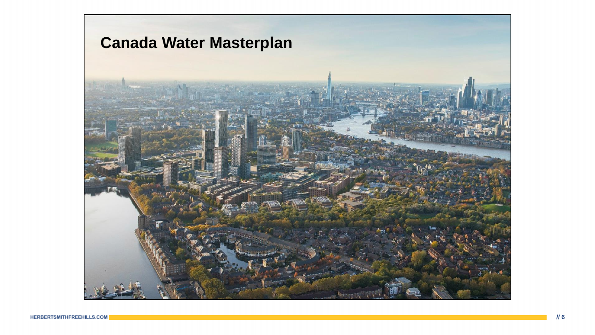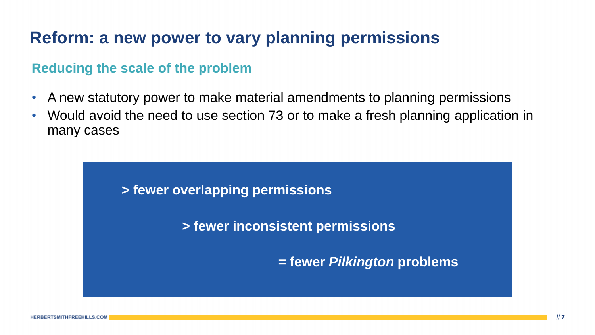## **Reform: a new power to vary planning permissions**

#### **Reducing the scale of the problem**

- A new statutory power to make material amendments to planning permissions
- Would avoid the need to use section 73 or to make a fresh planning application in many cases

#### **> fewer overlapping permissions**

**> fewer inconsistent permissions**

**= fewer** *Pilkington* **problems**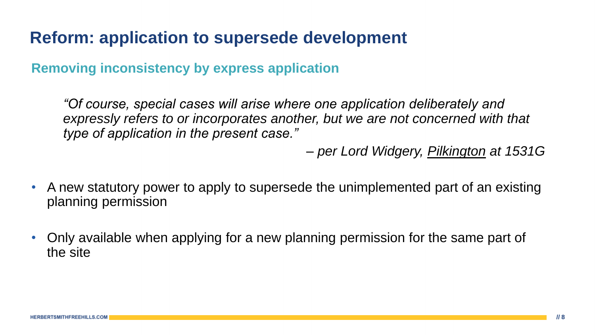### **Reform: application to supersede development**

**Removing inconsistency by express application**

*"Of course, special cases will arise where one application deliberately and*  expressly refers to or incorporates another, but we are not concerned with that *type of application in the present case."*

*– per Lord Widgery, Pilkington at 1531G*

- A new statutory power to apply to supersede the unimplemented part of an existing planning permission
- Only available when applying for a new planning permission for the same part of the site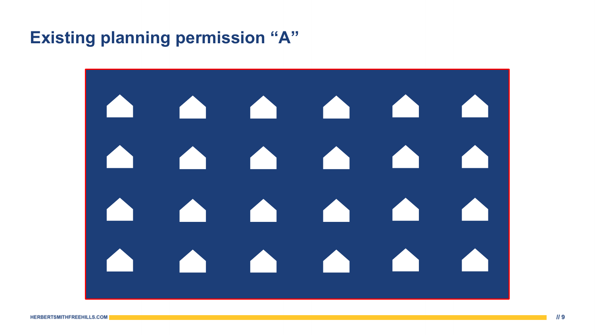### **Existing planning permission "A"**

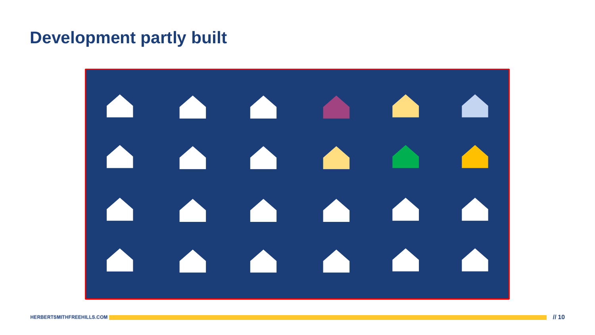### **Development partly built**

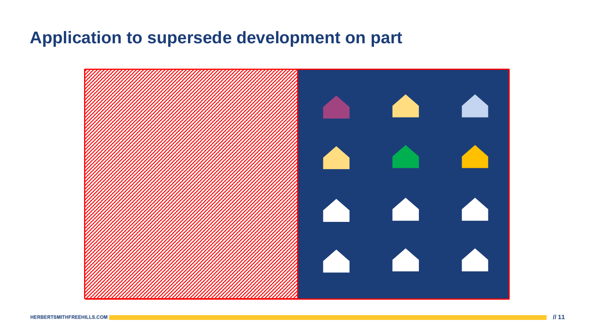### **Application to supersede development on part**

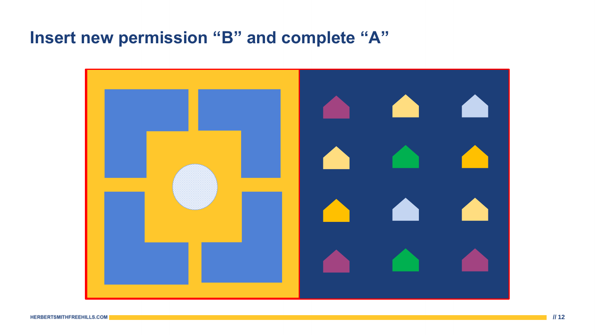## **Insert new permission "B" and complete "A"**